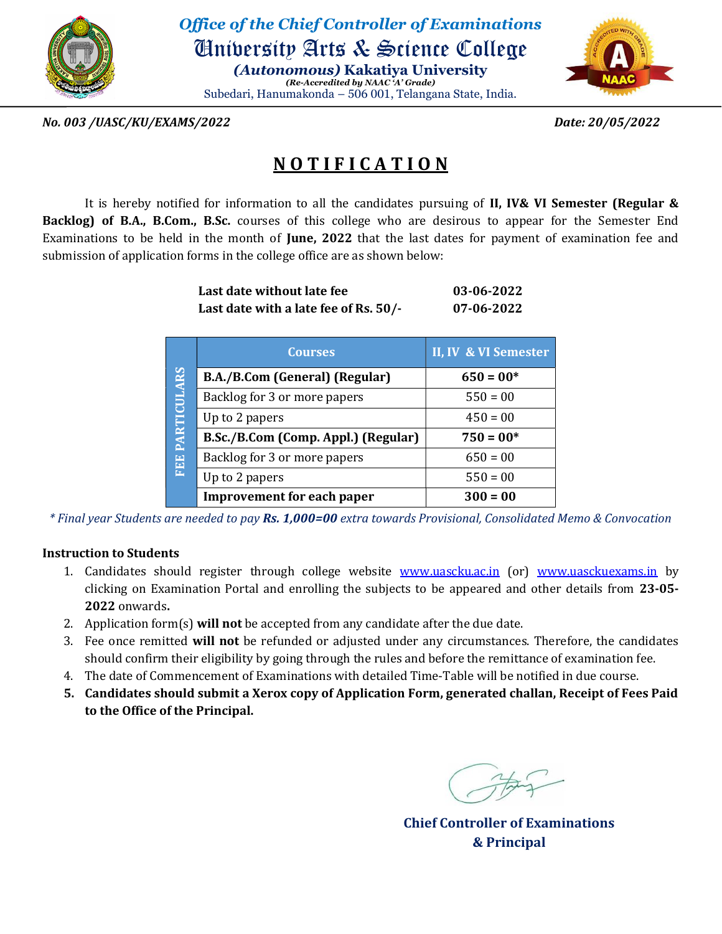

Office of the Chief Controller of Examinations University Arts & Science College (Autonomous) Kakatiya University

(Re-Accredited by NAAC 'A' Grade) Subedari, Hanumakonda – 506 001, Telangana State, India.



No. 003 /UASC/KU/EXAMS/2022 Date: 20/05/2022

## **NOTIFICATION**

It is hereby notified for information to all the candidates pursuing of II, IV& VI Semester (Regular & Backlog) of B.A., B.Com., B.Sc. courses of this college who are desirous to appear for the Semester End Examinations to be held in the month of June, 2022 that the last dates for payment of examination fee and submission of application forms in the college office are as shown below:

| Last date without late fee            | 03-06-2022 |
|---------------------------------------|------------|
| Last date with a late fee of Rs. 50/- | 07-06-2022 |

|                 | <b>Courses</b>                      | II, IV & VI Semester |
|-----------------|-------------------------------------|----------------------|
| FEE PARTICULARS | B.A./B.Com (General) (Regular)      | $650 = 00*$          |
|                 | Backlog for 3 or more papers        | $550 = 00$           |
|                 | Up to 2 papers                      | $450 = 00$           |
|                 | B.Sc./B.Com (Comp. Appl.) (Regular) | $750 = 00*$          |
|                 | Backlog for 3 or more papers        | $650 = 00$           |
|                 | Up to 2 papers                      | $550 = 00$           |
|                 | <b>Improvement for each paper</b>   | $300 = 00$           |

\* Final year Students are needed to pay Rs. 1,000=00 extra towards Provisional, Consolidated Memo & Convocation

## Instruction to Students

- 1. Candidates should register through college website www.uascku.ac.in (or) www.uasckuexams.in by clicking on Examination Portal and enrolling the subjects to be appeared and other details from 23-05- 2022 onwards.
- 2. Application form $(s)$  will not be accepted from any candidate after the due date.
- 3. Fee once remitted will not be refunded or adjusted under any circumstances. Therefore, the candidates should confirm their eligibility by going through the rules and before the remittance of examination fee.
- 4. The date of Commencement of Examinations with detailed Time-Table will be notified in due course.
- 5. Candidates should submit a Xerox copy of Application Form, generated challan, Receipt of Fees Paid to the Office of the Principal.

Chief Controller of Examinations & Principal